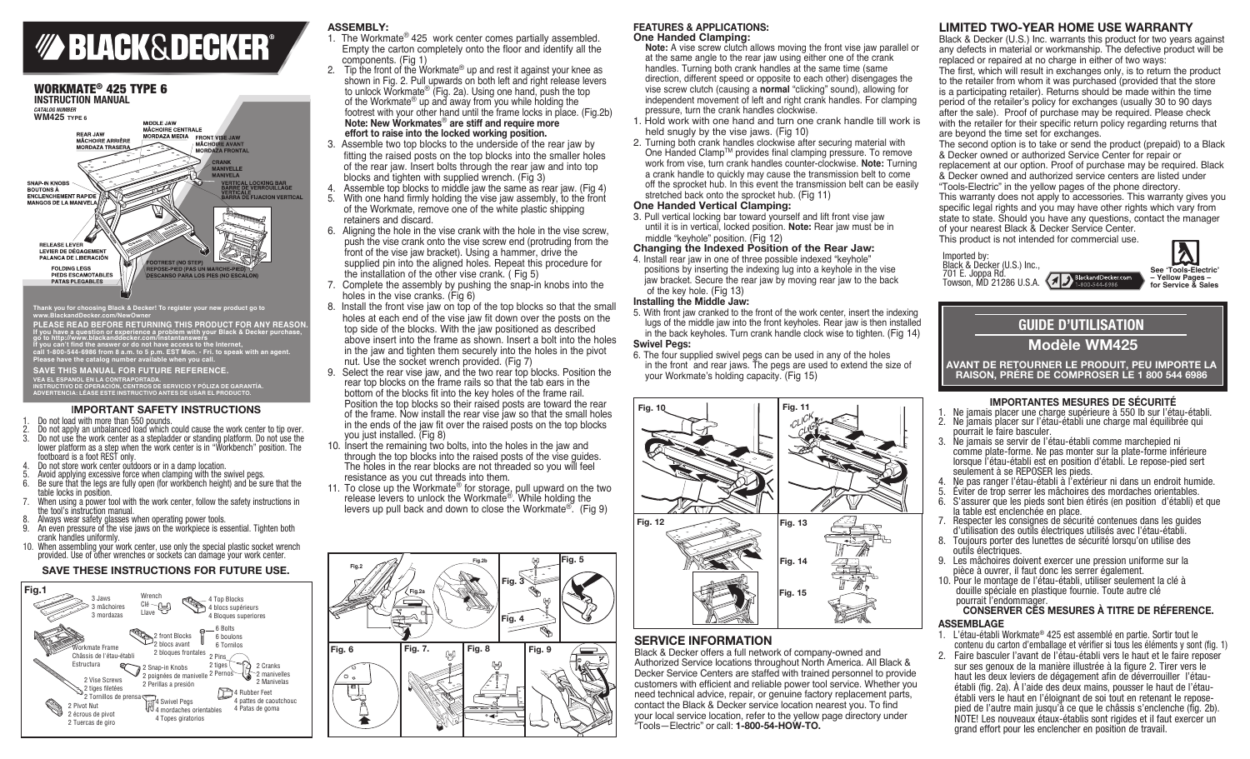



**Thank you for choosing Black & Decker! To register your new product go to www.BlackandDecker.com/NewOwner**

**PLEASE READ BEFORE RETURNING THIS PRODUCT FOR ANY REASON**<br>**If you have a question or experience a problem with your Black & Decker purchase, <br>go to http://www.blackanddecker.com/instantanswers, and the section purchase,** go to http://www.blackanddecker.com/instantanswers<br>If you can't find the answer or do not have access to the Internet,<br>call 1-800-544-6986 from 8 a.m. to 5 p.m. EST Mon. - Fri. to speak with an agent.<br>Please have the catal

#### **Save this manual for future reference.**

VEA EL ESPANOL EN LA CONTRAPORTADA.<br>INSTRUCTIVO DE OPERACIÓN, CENTROS DE SERVICIO Y PÓLIZA DE GARANTÍA.<br>ADVERTENCIA: LÉASE ESTE INSTRUCTIVO ANTES DE USAR EL PRODUCTO.

#### **IMPORTANT SAFETY INSTRUCTIONS**

1. Do not load with more than 550 pounds.

- 2. Do not apply an unbalanced load which could cause the work center to tip over.<br>3. Do not use the work center as a stepladder or standing platform. Do not use the
- 3. Do not use the work center as a stepladder or standing platform. Do not use the lower platform as a step when the work center is in "Workbench" position. The footboard is a foot REST only.
- Do not store work center outdoors or in a damp location.
- Avoid applying excessive force when clamping with the swivel pegs.
- 6. Be sure that the legs are fully open (for workbench height) and be sure that the table locks in position.
- When using a power tool with the work center, follow the safety instructions in the tool's instruction manual.
- Always wear safety glasses when operating power tools.
- An even pressure of the vise jaws on the workpiece is essential. Tighten both crank handles uniformly.
- 10. When assembling your work center, use only the special plastic socket wrench provided. Use of other wrenches or sockets can damage your work center.

# **SAVE THESE INSTRUCTIONS FOR FUTURE USE.**



# **ASSEMBLY:**

- 1. The Workmate® 425 work center comes partially assembled. Empty the carton completely onto the floor and identify all the components. (Fig 1)<br>2. Tip the front of the Wo
- Tip the front of the Workmate<sup>®</sup> up and rest it against your knee as shown in Fig. 2. Pull upwards on both left and right release levers to unlock Workmate<sup>®</sup> (Fig. 2a). Using one hand, push the top of the Workmate® up and away from you while holding the footrest with your other hand until the frame locks in place. (Fig.2b) **Note: New Workmates**® **are stiff and require more effort to raise into the locked working position.**
- 3. Assemble two top blocks to the underside of the rear jaw by fitting the raised posts on the top blocks into the smaller holes of the rear jaw. Insert bolts through the rear jaw and into top blocks and tighten with supplied wrench. (Fig 3)
- 4. Assemble top blocks to middle jaw the same as rear jaw. (Fig 4) 5. With one hand firmly holding the vise jaw assembly, to the front 5. With one hand firmly holding the vise jaw assembly, to the front of the Workmate, remove one of the white plastic shipping
- retainers and discard. 6. Aligning the hole in the vise crank with the hole in the vise screw, push the vise crank onto the vise screw end (protruding from the front of the vise jaw bracket). Using a hammer, drive the supplied pin into the aligned holes. Repeat this procedure for the installation of the other vise crank. ( Fig 5)
- 7. Complete the assembly by pushing the snap-in knobs into the holes in the vise cranks. (Fig 6)
- 8. Install the front vise jaw on top of the top blocks so that the small holes at each end of the vise jaw fit down over the posts on the top side of the blocks. With the jaw positioned as described above insert into the frame as shown. Insert a bolt into the holes in the jaw and tighten them securely into the holes in the pivot nut. Use the socket wrench provided. (Fig 7)<br>9. Select the rear vise jaw, and the two rear top b
- Select the rear vise jaw, and the two rear top blocks. Position the rear top blocks on the frame rails so that the tab ears in the bottom of the blocks fit into the key holes of the frame rail. Position the top blocks so their raised posts are toward the rear of the frame. Now install the rear vise jaw so that the small holes in the ends of the jaw fit over the raised posts on the top blocks you just installed. (Fig 8)
- 10. Insert the remaining two bolts, into the holes in the jaw and through the top blocks into the raised posts of the vise guides. The holes in the rear blocks are not threaded so you will feel resistance as you cut threads into them.
- 11. To close up the Workmate<sup>®</sup> for storage, pull upward on the two release levers to unlock the Workmate<sup>®</sup>. While holding the levers up pull back and down to close the Workmate<sup>®</sup>. (Fig 9)



### **FEATURES & APPLICATIONS: One Handed Clamping:**

 **Note:** A vise screw clutch allows moving the front vise jaw parallel or at the same angle to the rear jaw using either one of the crank handles. Turning both crank handles at the same time (same direction, different speed or opposite to each other) disengages the vise screw clutch (causing a **normal** "clicking" sound), allowing for independent movement of left and right crank handles. For clamping pressure, turn the crank handles clockwise.

- 1. Hold work with one hand and turn one crank handle till work is held snugly by the vise jaws. (Fig 10)
- 2. Turning both crank handles clockwise after securing material with One Handed ClampTM provides final clamping pressure. To remove work from vise, turn crank handles counter-clockwise. **Note:** Turning a crank handle to quickly may cause the transmission belt to come off the sprocket hub. In this event the transmission belt can be easily stretched back onto the sprocket hub. (Fig 11)

#### **One Handed Vertical Clamping:**

3. Pull vertical locking bar toward yourself and lift front vise jaw until it is in vertical, locked position. **Note:** Rear jaw must be in middle "keyhole" position. (Fig 12)

# **Changing the Indexed Position of the Rear Jaw:**

4. Install rear jaw in one of three possible indexed "keyhole" positions by inserting the indexing lug into a keyhole in the vise jaw bracket. Secure the rear jaw by moving rear jaw to the back of the key hole. (Fig 13)

### **Installing the Middle Jaw:**

- 5. With front jaw cranked to the front of the work center, insert the indexing lugs of the middle jaw into the front keyholes. Rear jaw is then installed in the back keyholes. Turn crank handle clock wise to tighten. (Fig 14) **Swivel Pegs:**
- 6. The four supplied swivel pegs can be used in any of the holes in the front and rear jaws. The pegs are used to extend the size of your Workmate's holding capacity. (Fig 15)



# **Service Information**

Black & Decker offers a full network of company-owned and Authorized Service locations throughout North America. All Black & Decker Service Centers are staffed with trained personnel to provide customers with efficient and reliable power tool service. Whether you need technical advice, repair, or genuine factory replacement parts, contact the Black & Decker service location nearest you. To find your local service location, refer to the yellow page directory under "Tools—Electric" or call: **1-800-54-HOW-TO.**

# **Limited Two-Year Home Use Warranty**

Black & Decker (U.S.) Inc. warrants this product for two years against any defects in material or workmanship. The defective product will be replaced or repaired at no charge in either of two ways: The first, which will result in exchanges only, is to return the product to the retailer from whom it was purchased (provided that the store is a participating retailer). Returns should be made within the time period of the retailer's policy for exchanges (usually 30 to 90 days after the sale). Proof of purchase may be required. Please check with the retailer for their specific return policy regarding returns that are beyond the time set for exchanges.

The second option is to take or send the product (prepaid) to a Black & Decker owned or authorized Service Center for repair or replacement at our option. Proof of purchase may be required. Black & Decker owned and authorized service centers are listed under "Tools-Electric" in the yellow pages of the phone directory.

This warranty does not apply to accessories. This warranty gives you specific legal rights and you may have other rights which vary from state to state. Should you have any questions, contact the manager of your nearest Black & Decker Service Center.

This product is not intended for commercial use.



 $\boldsymbol{\lambda}$ **See 'Tools-Electric' – Yellow Pages – for Service & Sales**

# **GUIDE D'UTILISATION**

**Modèle WM425**

**Avant De Retourner Le Produit, Peu importe la raison, Prére De comproser Le 1 800 544 6986**

#### **IMPORTANTES MESURES DE SÉCURITÉ**

- 1. Ne jamais placer une charge supérieure à 550 lb sur l'étau-établi.
- 2. Ne jamais placer sur l'étau-établi une charge mal équilibrée qui pourrait le faire basculer.
- 3. Ne jamais se servir de l'étau-établi comme marchepied ni comme plate-forme. Ne pas monter sur la plate-forme inférieure lorsque l'étau-établi est en position d'établi. Le repose-pied sert seulement à se REPOSER les pieds.
- 4. Ne pas ranger l'étau-établi à l'extérieur ni dans un endroit humide.<br>5. Éviter de trop serrer les mâchoires des mordaches orientables
- 5. Éviter de trop serrer les mâchoires des mordaches orientables.
- 6. S'assurer que les pieds sont bien étirés (en position d'établi) et que la table est enclenchée en place.
- 7. Respecter les consignes de sécurité contenues dans les guides d'utilisation des outils électriques utilisés avec l'étau-établi.
- 8. Toujours porter des lunettes de sécurité lorsqu'on utilise des outils électriques.
- 9. Les mâchoires doivent exercer une pression uniforme sur la pièce à ouvrer, il faut donc les serrer également.
- 10. Pour le montage de l'étau-établi, utiliser seulement la clé à douille spéciale en plastique fournie. Toute autre clé pourrait l'endommager.

#### **CONSERVER CES MESURES À TITRE DE RÉFERENCE. ASSEMBLAGE**

- 1. L'étau-établi Workmate® 425 est assemblé en partie. Sortir tout le contenu du carton d'emballage et vérifier si tous les éléments y sont (fig. 1)
- 2. Faire basculer l'avant de l'étau-établi vers le haut et le faire reposer sur ses genoux de la manière illustrée à la figure 2. Tirer vers le haut les deux leviers de dégagement afin de déverrouiller l'étauétabli (fig. 2a). À l'aide des deux mains, pousser le haut de l'étauétabli vers le haut en l'éloignant de soi tout en retenant le reposepied de l'autre main jusqu'à ce que le châssis s'enclenche (fig. 2b). NOTE! Les nouveaux étaux-établis sont rigides et il faut exercer un grand effort pour les enclencher en position de travail.